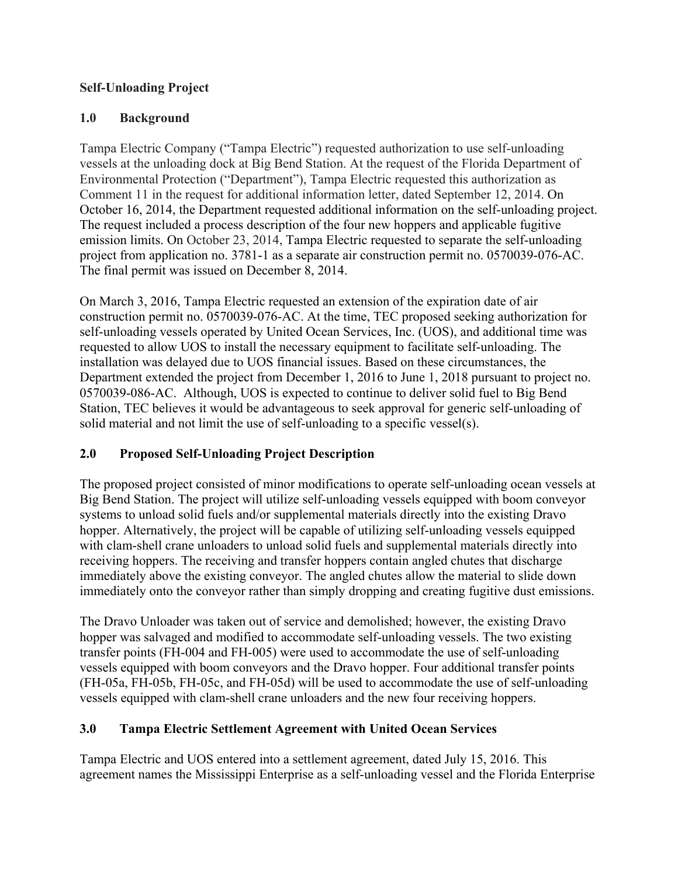#### **Self-Unloading Project**

#### **1.0 Background**

Tampa Electric Company ("Tampa Electric") requested authorization to use self-unloading vessels at the unloading dock at Big Bend Station. At the request of the Florida Department of Environmental Protection ("Department"), Tampa Electric requested this authorization as Comment 11 in the request for additional information letter, dated September 12, 2014. On October 16, 2014, the Department requested additional information on the self-unloading project. The request included a process description of the four new hoppers and applicable fugitive emission limits. On October 23, 2014, Tampa Electric requested to separate the self-unloading project from application no. 3781-1 as a separate air construction permit no. 0570039-076-AC. The final permit was issued on December 8, 2014.

On March 3, 2016, Tampa Electric requested an extension of the expiration date of air construction permit no. 0570039-076-AC. At the time, TEC proposed seeking authorization for self-unloading vessels operated by United Ocean Services, Inc. (UOS), and additional time was requested to allow UOS to install the necessary equipment to facilitate self-unloading. The installation was delayed due to UOS financial issues. Based on these circumstances, the Department extended the project from December 1, 2016 to June 1, 2018 pursuant to project no. 0570039-086-AC. Although, UOS is expected to continue to deliver solid fuel to Big Bend Station, TEC believes it would be advantageous to seek approval for generic self-unloading of solid material and not limit the use of self-unloading to a specific vessel(s).

## **2.0 Proposed Self-Unloading Project Description**

The proposed project consisted of minor modifications to operate self-unloading ocean vessels at Big Bend Station. The project will utilize self-unloading vessels equipped with boom conveyor systems to unload solid fuels and/or supplemental materials directly into the existing Dravo hopper. Alternatively, the project will be capable of utilizing self-unloading vessels equipped with clam-shell crane unloaders to unload solid fuels and supplemental materials directly into receiving hoppers. The receiving and transfer hoppers contain angled chutes that discharge immediately above the existing conveyor. The angled chutes allow the material to slide down immediately onto the conveyor rather than simply dropping and creating fugitive dust emissions.

The Dravo Unloader was taken out of service and demolished; however, the existing Dravo hopper was salvaged and modified to accommodate self-unloading vessels. The two existing transfer points (FH-004 and FH-005) were used to accommodate the use of self-unloading vessels equipped with boom conveyors and the Dravo hopper. Four additional transfer points (FH-05a, FH-05b, FH-05c, and FH-05d) will be used to accommodate the use of self-unloading vessels equipped with clam-shell crane unloaders and the new four receiving hoppers.

## **3.0 Tampa Electric Settlement Agreement with United Ocean Services**

Tampa Electric and UOS entered into a settlement agreement, dated July 15, 2016. This agreement names the Mississippi Enterprise as a self-unloading vessel and the Florida Enterprise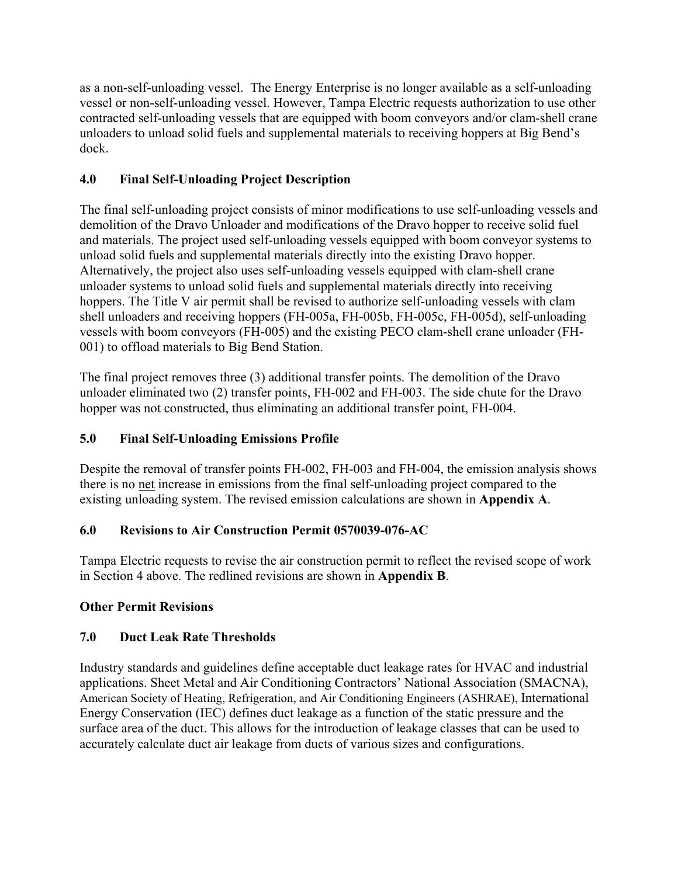as a non-self-unloading vessel. The Energy Enterprise is no longer available as a self-unloading vessel or non-self-unloading vessel. However, Tampa Electric requests authorization to use other contracted self-unloading vessels that are equipped with boom conveyors and/or clam-shell crane unloaders to unload solid fuels and supplemental materials to receiving hoppers at Big Bend's dock.

# **4.0 Final Self-Unloading Project Description**

The final self-unloading project consists of minor modifications to use self-unloading vessels and demolition of the Dravo Unloader and modifications of the Dravo hopper to receive solid fuel and materials. The project used self-unloading vessels equipped with boom conveyor systems to unload solid fuels and supplemental materials directly into the existing Dravo hopper. Alternatively, the project also uses self-unloading vessels equipped with clam-shell crane unloader systems to unload solid fuels and supplemental materials directly into receiving hoppers. The Title V air permit shall be revised to authorize self-unloading vessels with clam shell unloaders and receiving hoppers (FH-005a, FH-005b, FH-005c, FH-005d), self-unloading vessels with boom conveyors (FH-005) and the existing PECO clam-shell crane unloader (FH-001) to offload materials to Big Bend Station.

The final project removes three (3) additional transfer points. The demolition of the Dravo unloader eliminated two (2) transfer points, FH-002 and FH-003. The side chute for the Dravo hopper was not constructed, thus eliminating an additional transfer point, FH-004.

## **5.0 Final Self-Unloading Emissions Profile**

Despite the removal of transfer points FH-002, FH-003 and FH-004, the emission analysis shows there is no net increase in emissions from the final self-unloading project compared to the existing unloading system. The revised emission calculations are shown in **Appendix A**.

## **6.0 Revisions to Air Construction Permit 0570039-076-AC**

Tampa Electric requests to revise the air construction permit to reflect the revised scope of work in Section 4 above. The redlined revisions are shown in **Appendix B**.

## **Other Permit Revisions**

## **7.0 Duct Leak Rate Thresholds**

Industry standards and guidelines define acceptable duct leakage rates for HVAC and industrial applications. Sheet Metal and Air Conditioning Contractors' National Association (SMACNA), American Society of Heating, Refrigeration, and Air Conditioning Engineers (ASHRAE), International Energy Conservation (IEC) defines duct leakage as a function of the static pressure and the surface area of the duct. This allows for the introduction of leakage classes that can be used to accurately calculate duct air leakage from ducts of various sizes and configurations.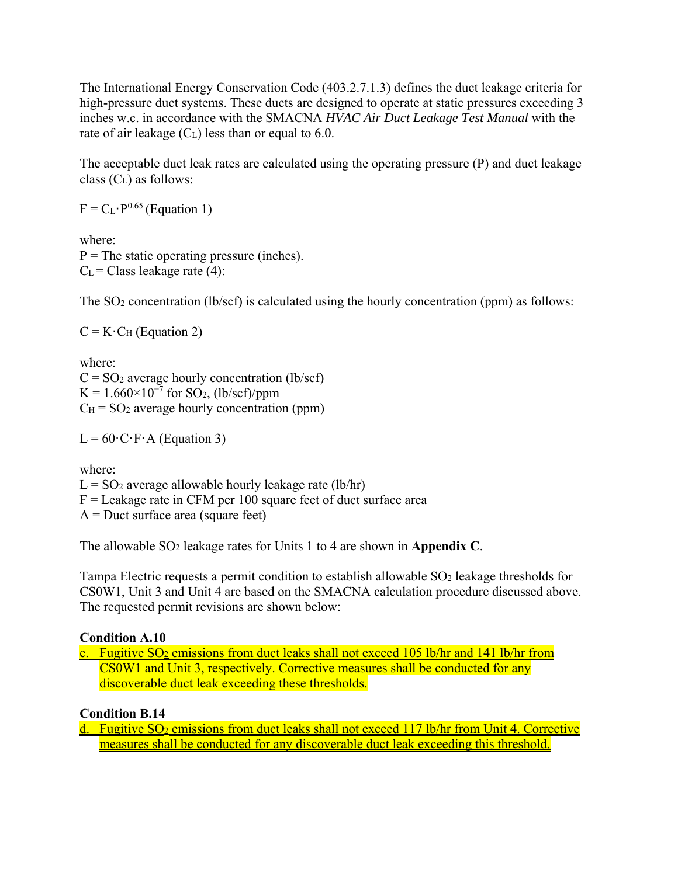The International Energy Conservation Code (403.2.7.1.3) defines the duct leakage criteria for high-pressure duct systems. These ducts are designed to operate at static pressures exceeding 3 inches w.c. in accordance with the SMACNA *HVAC Air Duct Leakage Test Manual* with the rate of air leakage  $(C<sub>L</sub>)$  less than or equal to 6.0.

The acceptable duct leak rates are calculated using the operating pressure (P) and duct leakage class  $(C<sub>L</sub>)$  as follows:

 $F = C_L \cdot P^{0.65}$  (Equation 1)

where:  $P =$ The static operating pressure (inches).  $C<sub>L</sub>$  = Class leakage rate (4):

The SO<sub>2</sub> concentration (lb/scf) is calculated using the hourly concentration (ppm) as follows:

 $C = K \cdot C_H$  (Equation 2)

where:  $C = SO<sub>2</sub>$  average hourly concentration (lb/scf)  $K = 1.660 \times 10^{-7}$  for SO<sub>2</sub>, (lb/scf)/ppm  $C_H = SO_2$  average hourly concentration (ppm)

 $L = 60 \cdot C \cdot F \cdot A$  (Equation 3)

where:

 $L = SO<sub>2</sub>$  average allowable hourly leakage rate (lb/hr)  $F =$ Leakage rate in CFM per 100 square feet of duct surface area A = Duct surface area (square feet)

The allowable SO2 leakage rates for Units 1 to 4 are shown in **Appendix C**.

Tampa Electric requests a permit condition to establish allowable SO<sub>2</sub> leakage thresholds for CS0W1, Unit 3 and Unit 4 are based on the SMACNA calculation procedure discussed above. The requested permit revisions are shown below:

#### **Condition A.10**

e. Fugitive  $SO_2$  emissions from duct leaks shall not exceed 105 lb/hr and 141 lb/hr from CS0W1 and Unit 3, respectively. Corrective measures shall be conducted for any discoverable duct leak exceeding these thresholds.

**Condition B.14** 

d. Fugitive SO<sub>2</sub> emissions from duct leaks shall not exceed 117 lb/hr from Unit 4. Corrective measures shall be conducted for any discoverable duct leak exceeding this threshold.